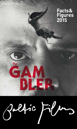

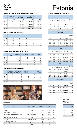### **Figures 2015**

#### **ANNUAL STATE SUPPORT FOR FILM INDUSTRY 2011-2015**

|      | Ministry of<br>Culture | Cultural<br>Endowment | Estonian<br>Film Institute | Total      |
|------|------------------------|-----------------------|----------------------------|------------|
|      | <b>EUR</b>             | <b>EUR</b>            | <b>EUR</b>                 | <b>EUR</b> |
| 2011 | 522 989                | 1407619               | 3 535 350                  | 5465958    |
| 2012 | 1063288                | 1 664 001             | 3 4 3 4 3 8 4              | 6 161 673  |
| 2013 | 571 000                | 1 732 822             | 3824938                    | 6 128 760  |
| 2014 | 341 000                | 1921296               | 4692311                    | 6954607    |
| 2015 | 635 000                | 1920 554              | 4842174                    | 7 397 728  |

#### **CINEMA PREMIERES 2010-2014**

|      | Domestic | European | <b>USA</b> | Other | Total |
|------|----------|----------|------------|-------|-------|
| 2010 | 12       | 58       | 97         | 8     | 175   |
| 2011 | 23       | 71       | 117        | 6     | 217   |
| 2012 | 24       | 86       | 109        | 9     | 228   |
| 2013 | 22       | 80       | 121        | 12    | 235   |
| 2014 | 21       | 103      | 106        | 13    | 243   |

#### **DOMESTIC FILMS PRODUCED 2010-2014**

|      | Feature<br>films | Animation | Documentaries | Shorts        | Total |
|------|------------------|-----------|---------------|---------------|-------|
| 2010 | 4                |           | 34            | 6             | 45    |
| 2011 | 7                | 6         | 35            | 5             | 53    |
| 2012 | 10               | 8         | 34            | 4             | 56    |
| 2013 | 7                | 7         | 30            | $\mathcal{P}$ | 44    |
| 2014 | b                | 8         | 28            | 5             | 49    |

#### **NUMBER OF CINEMAS 2010-2014**

|      | Screening<br>places (all) | Permanently<br>working cinemas | Multiplex<br>cinemas | Screens | Digital<br>screens |
|------|---------------------------|--------------------------------|----------------------|---------|--------------------|
| 2010 | 49                        | 12                             | 3                    | 74      | 15                 |
| 2011 | 49                        | 12                             | 3                    | 74      | 18                 |
| 2012 | 45                        | 10                             | 3                    | 70      | 18                 |
| 2013 | 45                        | 10                             | 3                    | 70      | 29                 |
| 2014 | 48                        | 12                             | 3                    | 78      | 36                 |



# Facts&<br>Figures<br>2015

#### **FILMS SCREENED (all) 2010-2014**

|      | <b>Domestic films</b> |            |                |                 |  |  |  |
|------|-----------------------|------------|----------------|-----------------|--|--|--|
|      | Films                 | Admissions | <b>GBO EUR</b> | Market<br>share |  |  |  |
| 2010 | 23                    | 43317      | 144 089        | 2,03            |  |  |  |
| 2011 | 48                    | 171391     | 550 324        | 6,94            |  |  |  |
| 2012 | 49                    | 195844     | 761 097        | 7.57            |  |  |  |
| 2013 | 50                    | 151 398    | 581 259        | 5.90            |  |  |  |
| 2014 | 28                    | 123 065    | 520 488        | 4.73            |  |  |  |

#### European

|      | Films | Admissions | <b>GBO EUR</b> | Market<br>share |
|------|-------|------------|----------------|-----------------|
| 2010 | 90    | 273 245    | 1 003 198      | 11,06           |
| 2011 | 126   | 272 256    | 1 103 189      | 10.52           |
| 2012 | 166   | 399 327    | 1 739 504      | 15.44           |
| 2013 | 153   | 346 177    | 1524913        | 13,53           |
| 2014 | 148   | 518 733    | 2 3 9 4 1 1 9  | 19.95           |
|      |       | USA        |                |                 |

|      | Films | Admissions | <b>GBO EUR</b> | Market<br>share |
|------|-------|------------|----------------|-----------------|
| 2010 | 177   | 1794484    | 6 605 660      | 84.19           |
| 2011 | 164   | 1997556    | 8 278 635      | 80.83           |
| 2012 | 166   | 1945 205   | 8743348        | 75.19           |
| 2013 | 158   | 1990330    | 9 332 041      | 77.79           |
| 2014 | 157   | 1765517    | 8824290        | 67.90           |
|      |       |            |                |                 |

Other

#### Films Admissions GBO EUR Market share 2010 10 20 395 65 242 0,96 2011 13 30 025 119 167 1,21 2012 14 46 619 185 189 1,80 2013 15 70 648 372 117 2,76 2014 20 192 889 1 015 686 7,42

| <b>Total All Films</b> |       |            |                |                    |  |
|------------------------|-------|------------|----------------|--------------------|--|
|                        | Films | Admissions | <b>GBO EUR</b> | Adm. per<br>Capita |  |
| 2010                   | 300   | 2 131 441  | 7799015        | 1.59               |  |
| 2011                   | 351   | 2 471 228  | 10 051 315     | 1,80               |  |
| 2012                   | 395   | 2586995    | 11 429 139     | 1,96               |  |
| 2013                   | 376   | 2 558 553  | 11810329       | 1.93               |  |
| 2014                   | 353   | 2 600 204  | 12 754 583     | 1.97               |  |

#### **AVERAGE TICKET PRICE 2010-2014**

|      | EUR |
|------|-----|
| 2010 | 3,7 |
| 2011 | 4.1 |
| 2012 | 4,4 |
| 2013 | 4.6 |
| 2014 | 4.9 |

#### **TOP TEN 2014**

| Title                                 | Country of Origin | Admissions | <b>GBO EUR</b> | Format |
|---------------------------------------|-------------------|------------|----------------|--------|
| Frozen                                | <b>USA</b>        | 88 166     | 396 214        | 3D     |
| Rio 2                                 | <b>USA</b>        | 74 053     | 334 553        | 3D     |
| How to Train Your Dragon 2            | <b>USA</b>        | 68 367     | 310 702        | 3D     |
| The Hobbit: The Battle of Five Armies | New Zealand/USA   | 61 603     | 412808         | 3D     |
| Let's Be Cops                         | <b>USA</b>        | 50 840     | 264 027        |        |
| Mr. Peabody and Sherman               | <b>USA</b>        | 49 932     | 215 046        | 3D     |
| Interstellar                          | USA/UK/Canada     | 48 674     | 256 226        |        |
| Penguins Of Madagascar                | <b>USA</b>        | 45 595     | 209 644        | 3D     |
| Nullpunkt/Zero Point                  | Estonia           | 43 304     | 196 352        |        |
| Lucy                                  | France            | 43 064     | 226 558        |        |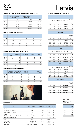#### Facts&<br>Figures<br>2015 **Figures 2015**

#### **ANNUAL STATE SUPPORT FOR FILM INDUSTRY 2011-2015**

|       | <b>National Film Centre</b><br>of Latvia | <b>Culture Capital</b><br>Foundation | Total      |
|-------|------------------------------------------|--------------------------------------|------------|
|       | <b>EUR</b>                               | <b>EUR</b>                           | <b>EUR</b> |
| 2011  | 1651197                                  | 344 092                              | 1995289    |
| 2012  | 1 514 323                                | 540 455                              | 2054778    |
| 2013  | 2086496                                  | 567 679                              | 2654175    |
| 2014  | 3517121                                  | 789 609                              | 4 306 730  |
| 2015* | 4628669                                  | 733 121                              | 5 361 790  |

\* projected

#### **CINEMA PREMIERES 2010-2014**

|      | Domestic | European | <b>USA</b> | Other | Total |
|------|----------|----------|------------|-------|-------|
| 2010 | 35       | 134      | 104        | 44    | 317   |
| 2011 | 28       | 116      | 117        | 42    | 303   |
| 2012 | 24       | 66       | 106        | 4     | 200   |
| 2013 | 27       | 50       | 116        | 27    | 220   |
| 2014 | 51       | 66       | 89         | 13    | 219   |

#### **DOMESTIC FILMS PRODUCED 2010-2014**

|      | Feature<br>films | Animation | Documentaries | <b>Shorts</b> | Total |
|------|------------------|-----------|---------------|---------------|-------|
| 2010 | 3                | 10        | 19            | 3             | 35    |
| 2011 | $5*$             | 4         | 17            | 2             | 28    |
| 2012 | 6                | 8         | 8             | っ             | 24    |
| 2013 | 4                | 3         | 18            |               | 27    |
| 2014 | $7**$            |           | 30            |               | 52    |

\* 1 Feature length animation \*\* 2 Feature length animation

#### **NUMBER OF CINEMAS 2010-2014**

|      | Screening<br>places (all) | Permanently<br>working cinemas | Multiplex<br>cinemas | Screens | Digital<br>screens |
|------|---------------------------|--------------------------------|----------------------|---------|--------------------|
| 2010 | 26                        | 17                             | 4                    | 63      |                    |
| 2011 | 26                        | 17                             | 4                    | 63      | 15                 |
| 2012 | 25                        | 17                             | 4                    | 62      | 28                 |
| 2013 | 32                        | 14                             | 4                    | 66      | 36                 |
| 2014 | 29                        | 15                             | 4                    | 64      | 44                 |



#### **FILMS SCREENED (all) 2010-2014**

| Domestic films |       |            |                |                 |  |  |
|----------------|-------|------------|----------------|-----------------|--|--|
|                | Films | Admissions | <b>GBO EUR</b> | Market<br>share |  |  |
| 2010           | 42    | 146 379    | 330 010        | 6,95            |  |  |
| 2011           | 70    | 92 386     | 135 496        | 4,48            |  |  |
| 2012           | 56    | 103 040    | 284 317        | 4.51            |  |  |
| 2013           | 97    | 143 379    | 228 368        | 6,03            |  |  |
| 2014           | 109   | 175 207    | 443717         | 7.58            |  |  |

#### European Films Admissions GBO EUR Market share 2010 178 257 867 1 056 344 12,24 2011 156 192 435 870 260 9,34 2012 157 445 919 1 802 817 19,50 2013 231 267 900 1 114 170 11,27 2014 210 493 570 2 201 469 21,36 USA

|      | Films | Admissions | <b>GBO EUR</b> | Market<br>share |
|------|-------|------------|----------------|-----------------|
| 2010 | 137   | 1597416    | 6506807        | 75.84           |
| 2011 | 194   | 1675126    | 6802103        | 81.27           |
| 2012 | 149   | 1718729    | 7560592        | 75.17           |
| 2013 | 191   | 1768 158   | 7998473        | 74,36           |
| 2014 | 170   | 1 503 833  | 6845648        | 65.07           |
|      |       |            |                |                 |

#### **Other**

|      | Films | Admissions | <b>GBO EUR</b> | Market<br>share |
|------|-------|------------|----------------|-----------------|
| 2010 | 67    | 104 565    | 575 405        | 4,96            |
| 2011 | 51    | 101 202    | 580 911        | 4.91            |
| 2012 | 22    | 18 654     | 108 015        | 0.82            |
| 2013 | 77    | 198 249    | 968 874        | 8.34            |
| 2014 | 47    | 138 521    | 686 497        | 5.99            |

| <b>Total All Films</b> |       |               |                |                    |  |  |
|------------------------|-------|---------------|----------------|--------------------|--|--|
|                        | Films | Admissions    | <b>GBO EUR</b> | Adm. per<br>Capita |  |  |
| 2010                   | 424   | 2 106 227     | 8468566        | 0,94               |  |  |
| 2011                   | 471   | 2061149       | 8388770        | 1,00               |  |  |
| 2012                   | 384   | 2 286 342     | 9755740        | 1,13               |  |  |
| 2013                   | 596   | 2 377 686     | 10 309 885     | 1,18               |  |  |
| 2014                   | 536   | 2 3 1 1 1 3 1 | 10 177 331     | 1.16               |  |  |

Ī

#### **AVERAGE TICKET PRICE 2010-2014**

|      | EUR  |
|------|------|
| 2010 | 4.02 |
| 2011 | 4.07 |
| 2012 | 4,27 |
| 2013 | 4.42 |
| 2014 | 4.64 |

#### **TOP TEN 2014**

| Title                                 | Country of Origin  | Admissions | <b>GBO EUR</b> | Format |
|---------------------------------------|--------------------|------------|----------------|--------|
| Rio 2                                 | <b>USA</b>         | 87443      | 371497         | 3D     |
| Penguins of Madagascar                | <b>USA</b>         | 71967      | 324 115        | 3D     |
| How to Train Your Dragon 2            | <b>USA</b>         | 71917      | 292 782        | 3D     |
| Frozen                                | <b>USA</b>         | 57 134     | 241617         | 3D     |
| The Hobbit: Battle of the Five Armies | New Zealand/USA    | 47861      | 270 123        | 3D     |
| Mr. Peabody & Sherman                 | <b>USA</b>         | 44 294     | 181 632        | 3D     |
| Lucy                                  | France             | 44 101     | 208 909        |        |
| Interstellar                          | USA/UK/Canada      | 42 166     | 202 254        |        |
| The Boxtrolls                         | <b>USA</b>         | 39 4 24    | 172 231        | 3D     |
| Maleficent                            | USA/United Kingdom | 38 437     | 175969         | 3D     |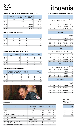### **Figures 2015**

#### **ANNUAL STATE SUPPORT FOR FILM INDUSTRY 2011-2015**

|      | Ministry of<br>Culture | Cultural<br>Foundation | Lithuanian Film<br>Centre | Total         |
|------|------------------------|------------------------|---------------------------|---------------|
|      | <b>EUR</b>             | <b>EUR</b>             | <b>EUR</b>                | <b>EUR</b>    |
| 2011 | 1 682 900              | 706 700                | 0                         | 2 389 600     |
| 2012 | 1 323 665              | 625 290                | 0                         | 1948955       |
| 2013 | -                      |                        | 2 751 391                 | 2 751 391     |
| 2014 | -                      | -                      | 3 0 2 4 5 0 1             | 3 0 2 4 5 0 1 |
| 2015 |                        |                        | 3 078 652                 | 3078652       |

#### **CINEMA PREMIERES 2010-2014**

|      | Domestic | European | <b>USA</b> | Other | Total |
|------|----------|----------|------------|-------|-------|
| 2010 | 8        | 58       | 96         | 2     | 164   |
| 2011 | 10       | 63       | 109        | 3     | 185   |
| 2012 | 6        | 82       | 89         | 9     | 186   |
| 2013 | 15       | 56       | 119        | 5     | 195   |
| 2014 | 14       | 66       | 101        | 6     | 187   |

#### **DOMESTIC FILMS PRODUCED 2010-2014**

|      | Feature<br>films | Animation | Documentaries | Shorts | Total |
|------|------------------|-----------|---------------|--------|-------|
| 2010 | 4                | 4         | 11            | 13     | 32    |
| 2011 | 2                | 8         | Q             | 19     | 38    |
| 2012 | 4                | 10        | 18            |        | 33    |
| 2013 | 11               | 7         | 17            | 5      | 40    |
| 2014 | 8                | 7         | 18            | ∍      | 40    |

#### **NUMBER OF CINEMAS 2010-2014**

|      | Screening<br>places (all) | Permanently<br>working cinemas | Multiplex<br>cinemas | Screens | Digital<br>screens |
|------|---------------------------|--------------------------------|----------------------|---------|--------------------|
| 2010 | 45                        | 42                             | 9                    | 95      |                    |
| 2011 | 45                        | 42                             | 9                    | 95      | 18                 |
| 2012 | 42                        | 42                             | 9                    | 95      | 21                 |
| 2013 | 42                        | 32                             | 10                   | 95      | 44                 |
| 2014 | 42                        | 32                             | 10                   | 95      |                    |



# Facts&<br>Figures<br>2015 **Lithuania**

#### **FILMS SCREENED (premieres) 2010-2014**

| <b>Domestic films</b> |       |            |                |                 |
|-----------------------|-------|------------|----------------|-----------------|
|                       | Films | Admissions | <b>GBO EUR</b> | Market<br>share |
| 2010                  | 10    | 99 767     | 364 404        | 4,17            |
| 2011                  | 12    | 296 693    | 1065697        | 10.44           |
| 2012                  | 10    | 80 469     | 285 244        | 2,88            |
| 2013                  | 17    | 510 924    | 2045844        | 16.49           |
| 2014                  | 14    | 676 521    | 3 033 882      | 21.97           |

#### European

|      | Films | Admissions | <b>GBO EUR</b> | Market<br>share |
|------|-------|------------|----------------|-----------------|
| 2010 | 58    | 422 008    | 1 550 554      | 14.85           |
| 2011 | 63    | 475 245    | 1 774 767      | 17,01           |
| 2012 | 82    | 553 719    | 2 127 264      | 17.88           |
| 2013 | 56    | 409 504    | 1631716        | 13,22           |
| 2014 | 66    | 422 518    | 1835201        | 13.71           |
| USA  |       |            |                |                 |

|      | Films | Admissions | <b>GBO EUR</b> | Market<br>share |
|------|-------|------------|----------------|-----------------|
| 2010 | 96    | 1853048    | 6891017        | 77.53           |
| 2011 | 109   | 2068027    | 7476669        | 72,76           |
| 2012 | 89    | 2 121 490  | 8 326 559      | 75.92           |
| 2013 | 119   | 2 145 777  | 8709308        | 69.27           |
| 2014 | 101   | 1881143    | 8 465 770      | 61.08           |

#### **Other**

|      | Films | Admissions | <b>GBO EUR</b> | Market<br>share |
|------|-------|------------|----------------|-----------------|
| 2010 | 2     | 15 325     | 173 227        | 0,64            |
| 2011 | 3     | 2 2 5 6    | 25 635         | 0.08            |
| 2012 | 9     | 38 762     | 144 142        | 1.39            |
| 2013 | 5     | 31 478     | 120 006        | 1,02            |
| 2014 | 6     | 99 645     | 380 570        | 3.24            |

| <b>Total All Films</b> |       |            |                |                    |
|------------------------|-------|------------|----------------|--------------------|
|                        | Films | Admissions | <b>GBO EUR</b> | Adm. per<br>Capita |
| 2010                   | 166   | 2 390 148  | 7428648        | 0,72               |
| 2011                   | 187   | 2842221    | 8568001        | 0,89               |
| 2012                   | 190   | 2 794 440  | 8755945        | 0,93               |
| 2013                   | 197   | 3097683    | 10875158       | 1.05               |
| 2014                   | 187   | 3079827    | 13 715 423     | 1.05               |

#### **AVERAGE TICKET PRICE 2010-2014**

|      | EUR  |
|------|------|
| 2010 | 3,75 |
| 2011 | 3.62 |
| 2012 | 3.88 |
| 2013 | 4.04 |
| 2014 | 4.44 |

#### **TOP TEN 2014**

| <b>Title</b>                                  | Country of Origin | Admissions | <b>GBO EUR</b> | Format |
|-----------------------------------------------|-------------------|------------|----------------|--------|
| Už Lietuva!/Redirected                        | Lithuania/UK      | 292 654    | 1 344 041      |        |
| Frozen                                        | <b>USA</b>        | 122 699    | 518760         | 3D     |
| Rio 2                                         | <b>USA</b>        | 102 456    | 424 700        | 3D     |
| Penguins of Madagascar                        | <b>USA</b>        | 95882      | 421 977        | 3D     |
| Valentinas už 2ru/Valentinas Behind the Doors | Lithuania         | 88 559     | 400 306        |        |
| How To Train Your Dragon 2                    | <b>USA</b>        | 89 806     | 376 049        | 3D     |
| Interstellar                                  | USA/UK/Canada     | 75 548     | 365 683        |        |
| Lošėjas/Spēlmanis/The Gambler                 | Lithuania/Latvia  | 76891      | 357 144        |        |
| Hobbit: The Battle of Five Armies             | New Zealand/USA   | 59 748     | 330 064        | 3D     |
| Kaip pavogti žmona/How to Steal a Wife        | Lithuania         | 60 654     | 266 649        |        |
|                                               |                   |            |                |        |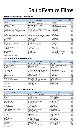## Baltic Feature Films

#### **ESTONIAN FEATURE FILMS RELEASED 2012-2014**

| <b>Original Title</b>                         | <b>English Title</b>                          | Director                     | Year of<br>Release |
|-----------------------------------------------|-----------------------------------------------|------------------------------|--------------------|
| Risttuules                                    | In the Crosswind                              | Martti Helde                 | 2014               |
| Ma ei tule tagasi                             | I Won't Come Back (EE/RU/FI/BL/KZ)            | Ilmar Raag                   | 2014               |
| Maastik mitme kuuga                           | Landscape with Many Moons                     | Jaan Toomik                  | 2014               |
| Kirsitubakas                                  | Cherry Tobacco                                | Katrin Maimik, Andres Maimik | 2014               |
| Nullpunkt                                     | Zero Point                                    | Mihkel Ulk                   | 2014               |
| The Man in the Orange Jacket                  | The Man in the Orange Jacket (LV/EE)          | Aik Karapetian               | 2014               |
| Väikelinna detektiivid ja Valge Daami saladus | Kid Detectives & The Secret of the White Lady | René Vilbre                  | 2013               |
| Mustad teemandid/Dimantes Negros              | Black Diamonds (ES/PT/EE)                     | Miguel Alcantud              | 2013               |
| Mandariinid                                   | Tangerines (EE/GE)                            | Zaza Urushadze               | 2013               |
| Kertu                                         | Kertu                                         | Ilmar Raag                   | 2013               |
| Free Range: ballaad maailma heakskiitmisest   | Free Range: Ballad on Approving of the World  | Veiko Öunpuu                 | 2013               |
| Lisa Limone ja Maroc Orange**                 | Lisa Limone & Maroc Orange (EE/FI)**          | Mait Laas                    | 2013               |
| Kohtumõistja                                  | The Arbiter (EE/SE)                           | Kadri Kõusaar                | 2013               |
| Elavad pildid                                 | Living Images                                 | Hardi Volmer                 | 2013               |
| Pitsad                                        | Pizzas (LV/EE)                                | Laila Pakalnina              | 2012               |
| Deemonid                                      | Demons                                        | Ain Mäeots                   | 2012               |
| Kõik muusikud on kaabakad                     | All Musicians Are Bastards                    | Heleri Saarik                | 2012               |
| Eestlanna Pariisis/Une estonienne a Paris     | A Lady in Paris (FR/EE/BE)                    | Ilmar Raag                   | 2012               |
| Seenelkäik                                    | Mushrooming                                   | <b>Toomas Hussar</b>         | 2012               |
| Puhastus/Puhdistus                            | Purge (FI/EE)                                 | Antti Jokinen                | 2012               |
| Üksik saar                                    | Lonely Island (EE/LV/BL)                      | Peeter Simm                  | 2012               |
| Hella W                                       | Hella W (FI/EE)                               | Juha Wuolijoki               | 2012               |
| Vasaku jala reede                             | Bad Hair Friday                               | Arun Tamm, Andres Kõpper     | 2012               |
| Rat King                                      | Rat King (FI/EE)                              | Petri Kotwica                | 2012               |
| Umbkotid*                                     | Douchebags*                                   | Andres Maimik, Rain Tolk     | 2012               |

\*TV Drama \*\*Feature length animation

#### **LATVIAN FEATURE FILMS RELEASED 2012-2014**

| <b>Original Title</b>         | <b>English Title</b>                      | <b>Director</b>                     | Year of<br>Release |
|-------------------------------|-------------------------------------------|-------------------------------------|--------------------|
| Akmeni manās kabatās*         | Rocks in My Pockets (USA/LV)              | Signe Baumane                       | 2014               |
| Džimlai Rūdi Rallallā         | Then It's Hi! Hi! Hee!                    | Māris Putninš, Jānis Cimermanis     | 2014               |
| Izlaiduma gads                | The Lesson (LV/RU)                        | Andris Gauja                        | 2014               |
| The Man in the Orange Jacket  | The Man in the Orange Jacket (LV/EE)      | Aik Karapetian                      | 2014               |
| Modris                        | Modris (LV/DE/GR)                         | Juris Kursietis                     | 2014               |
| OKI Okeāna vidū               | Oki - in the Middle of the Ocean (LV/USA) | Māris Martinsons                    | 2014               |
| Zelta zirgs*                  | The Golden Horse (LV/LU/LT/DK)            | Reinis Kalnaellis, Valentas Aškinis | 2014               |
| Lošėjas                       | The Gambler (LT/LV)                       | Ignas Jonynas                       | 2013               |
| Miglā                         | In the Fog (DE/RU/LV/BY/NL)               | Sergei Loznitsa                     | 2013               |
| Mammu es tevi mīlu            | Mother I Love You                         | Jānis Nords                         | 2013               |
| Sēnotāji                      | Mushroomers                               | Ivars Tontegode                     | 2013               |
| Sapnu komanda                 | Dream Team 1935                           | Aigars Grauba                       | 2012               |
| Golfa straume zem ledus kalna | Gulf Stream Under The Iceberg (LV/RU)     | Yevgeny Pashkevich                  | 2012               |
| Vientulā sala                 | Lonely Island (EE/LV/BY)                  | Peeter Simm                         | 2012               |
| Mona                          | Mona (LV/IS)                              | Ināra Kolmane                       | 2012               |
| Cilvēki tur                   | People Out There                          | Aik Karapetian                      | 2012               |
| Picas                         | Pizzas (LV/EE)                            | Laila Pakalnina                     | 2012               |

\*Feature length animation

#### **LITHUANIAN FEATURE FILMS RELEASED 2012-2014**

| <b>Original Title</b>            | <b>English Title</b>                  | <b>Director</b>                       | Year of<br>Release |
|----------------------------------|---------------------------------------|---------------------------------------|--------------------|
| Aukso Žirgas*                    | The Golden Horse (LV/LU/LT/DK)        | Reinis Kalnaellis, Valentas Aškinis   | 2014               |
| Šventa Karvė                     | Holy Cow                              | Donatas Ulvydas                       | 2014               |
| Pakeliui                         | When You Wake Up                      | Ričardas Marcinkus                    | 2014               |
| Rūsys                            | The Cellar                            | Ričardas Matačius                     | 2014               |
| Gustavo nuotykiai                | Around the World on a Flying Windmill | Augustinas Gricius, Vaidas Lekavičius | 2014               |
| Valentinas už 2ru                | Valentinas Behind the Doors           | Evaldas Kubilius                      | 2014               |
| Nesamasis laikas                 | Non Present Time                      | Mykolas Vildžiūnas                    | 2014               |
| Santa                            | Santa (LT/FI)                         | Marius Ivaškevičius                   | 2014               |
| Už Lietuva!                      | Redirected (LT/GB)                    | Emilis Vėlyvis                        | 2014               |
| Kaip pavogti žmoną               | How to Steal a Wife                   | Donatas Ulvydas                       | 2013               |
| Laikas kartu                     | Time Together                         | Mark Aerial Waller                    | 2013               |
| Moterys meluoja geriau. Kristina | Women Lie Better, Kristina            | Alvydas Šlepikas                      | 2013               |
| Vardas tamsoje                   | A Name in the Dark                    | Agnė Marcinkevičiūtė                  | 2013               |
| Lošėjas                          | The Gambler (LT/LV)                   | Ignas Jonynas                         | 2013               |
| Ekskursantė                      | The Excursionist                      | Audrius Juzėnas                       | 2013               |
| <b>Streikas</b>                  | We Will Riot                          | Romas Zabarauskas                     | 2013               |
| Laiškai Sofijai                  | Letters to Sofija (LT/UK)             | Robert Mullan                         | 2013               |
| Emigrantai                       | Emigrants                             | Justinas Krisiūna                     | 2013               |
| Valentinas vienas                | Valentine Alone                       | Donatas Ulvydas                       | 2013               |
| Tyli naktis                      | Christmas, Uncensored                 | <b>Maris Martinsons</b>               | 2013               |
| Aurora                           | Vanishing Waves (LT/FR/BE)            | Kristina Buožytė                      | 2012               |
| Moters saulė                     | The woman sun                         | Ruslanas Korostenskis                 | 2012               |
| Narcizas                         | Narcissus (LT/GR)                     | Dovilė Gasiūnaitė                     | 2012               |
| Miegančių drugelių tvirtovė      | Fortress of Sleeping Butterflies      | Algimantas Puipa                      | 2012               |

\*Feature length animation